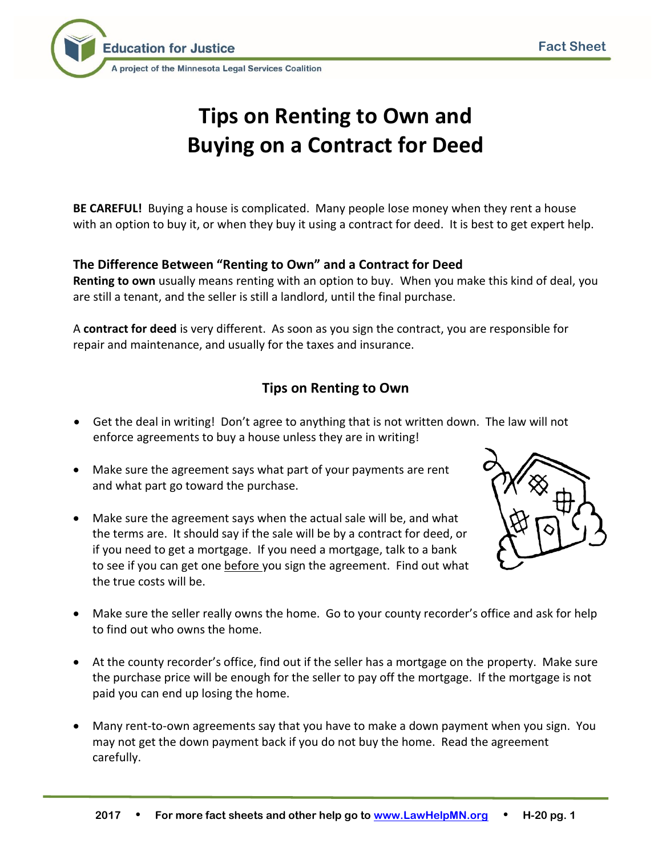

# **Tips on Renting to Own and Buying on a Contract for Deed**

**BE CAREFUL!** Buying a house is complicated. Many people lose money when they rent a house with an option to buy it, or when they buy it using a contract for deed. It is best to get expert help.

# **The Difference Between "Renting to Own" and a Contract for Deed**

**Renting to own** usually means renting with an option to buy. When you make this kind of deal, you are still a tenant, and the seller is still a landlord, until the final purchase.

A **contract for deed** is very different. As soon as you sign the contract, you are responsible for repair and maintenance, and usually for the taxes and insurance.

# **Tips on Renting to Own**

- Get the deal in writing! Don't agree to anything that is not written down. The law will not enforce agreements to buy a house unless they are in writing!
- Make sure the agreement says what part of your payments are rent and what part go toward the purchase.
- Make sure the agreement says when the actual sale will be, and what the terms are. It should say if the sale will be by a contract for deed, or if you need to get a mortgage. If you need a mortgage, talk to a bank to see if you can get one before you sign the agreement. Find out what the true costs will be.



- Make sure the seller really owns the home. Go to your county recorder's office and ask for help to find out who owns the home.
- At the county recorder's office, find out if the seller has a mortgage on the property. Make sure the purchase price will be enough for the seller to pay off the mortgage. If the mortgage is not paid you can end up losing the home.
- Many rent-to-own agreements say that you have to make a down payment when you sign. You may not get the down payment back if you do not buy the home. Read the agreement carefully.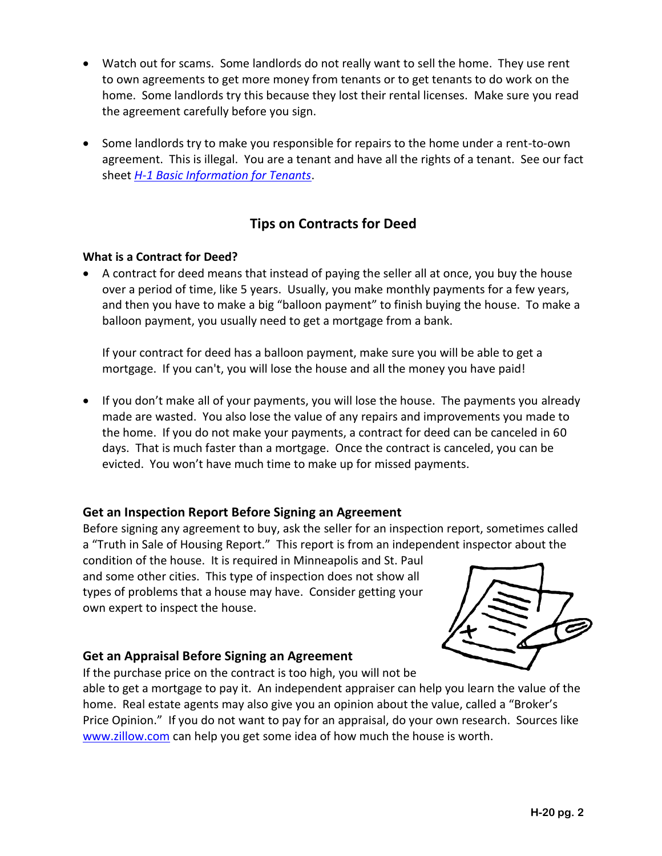- Watch out for scams. Some landlords do not really want to sell the home. They use rent to own agreements to get more money from tenants or to get tenants to do work on the home. Some landlords try this because they lost their rental licenses. Make sure you read the agreement carefully before you sign.
- Some landlords try to make you responsible for repairs to the home under a rent-to-own agreement. This is illegal. You are a tenant and have all the rights of a tenant. See our fact sheet *[H-1 Basic Information for Tenants](http://www.lawhelpmn.org/resource/basic-information-for-tenants-1/download/EAEDFDA8-CB21-7753-912F-43557F29DB10?ref=CT2so)*.

# **Tips on Contracts for Deed**

#### **What is a Contract for Deed?**

 A contract for deed means that instead of paying the seller all at once, you buy the house over a period of time, like 5 years. Usually, you make monthly payments for a few years, and then you have to make a big "balloon payment" to finish buying the house. To make a balloon payment, you usually need to get a mortgage from a bank.

If your contract for deed has a balloon payment, make sure you will be able to get a mortgage. If you can't, you will lose the house and all the money you have paid!

 If you don't make all of your payments, you will lose the house. The payments you already made are wasted. You also lose the value of any repairs and improvements you made to the home. If you do not make your payments, a contract for deed can be canceled in 60 days. That is much faster than a mortgage. Once the contract is canceled, you can be evicted. You won't have much time to make up for missed payments.

## **Get an Inspection Report Before Signing an Agreement**

Before signing any agreement to buy, ask the seller for an inspection report, sometimes called a "Truth in Sale of Housing Report." This report is from an independent inspector about the

condition of the house. It is required in Minneapolis and St. Paul and some other cities. This type of inspection does not show all types of problems that a house may have. Consider getting your own expert to inspect the house.



## **Get an Appraisal Before Signing an Agreement**

If the purchase price on the contract is too high, you will not be

able to get a mortgage to pay it. An independent appraiser can help you learn the value of the home. Real estate agents may also give you an opinion about the value, called a "Broker's Price Opinion." If you do not want to pay for an appraisal, do your own research. Sources like [www.zillow.com](http://www.zillow.com/) can help you get some idea of how much the house is worth.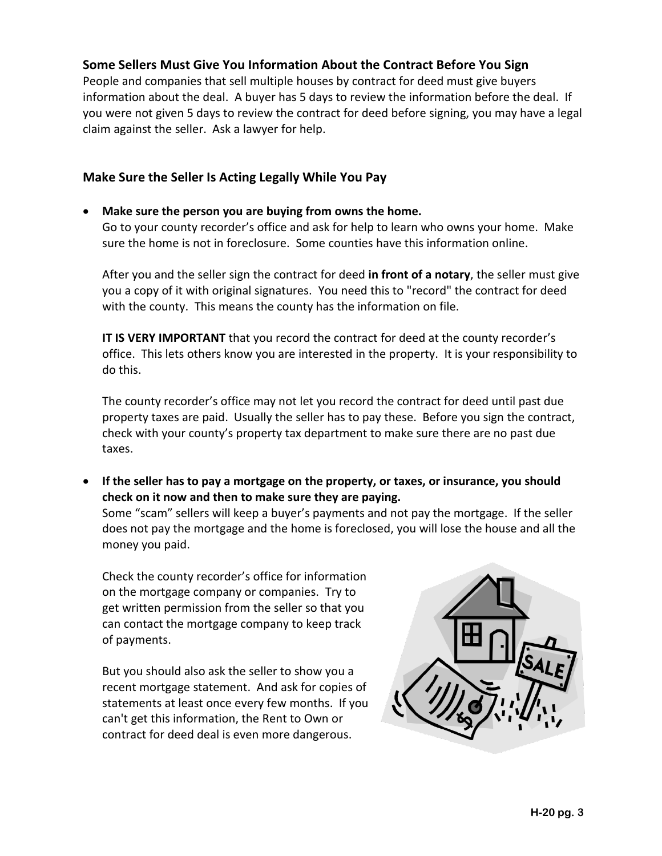# **Some Sellers Must Give You Information About the Contract Before You Sign**

People and companies that sell multiple houses by contract for deed must give buyers information about the deal. A buyer has 5 days to review the information before the deal. If you were not given 5 days to review the contract for deed before signing, you may have a legal claim against the seller. Ask a lawyer for help.

### **Make Sure the Seller Is Acting Legally While You Pay**

#### **Make sure the person you are buying from owns the home.**

Go to your county recorder's office and ask for help to learn who owns your home. Make sure the home is not in foreclosure. Some counties have this information online.

After you and the seller sign the contract for deed **in front of a notary**, the seller must give you a copy of it with original signatures. You need this to "record" the contract for deed with the county. This means the county has the information on file.

**IT IS VERY IMPORTANT** that you record the contract for deed at the county recorder's office. This lets others know you are interested in the property. It is your responsibility to do this.

The county recorder's office may not let you record the contract for deed until past due property taxes are paid. Usually the seller has to pay these. Before you sign the contract, check with your county's property tax department to make sure there are no past due taxes.

 **If the seller has to pay a mortgage on the property, or taxes, or insurance, you should check on it now and then to make sure they are paying.**  Some "scam" sellers will keep a buyer's payments and not pay the mortgage. If the seller does not pay the mortgage and the home is foreclosed, you will lose the house and all the money you paid.

Check the county recorder's office for information on the mortgage company or companies. Try to get written permission from the seller so that you can contact the mortgage company to keep track of payments.

But you should also ask the seller to show you a recent mortgage statement. And ask for copies of statements at least once every few months. If you can't get this information, the Rent to Own or contract for deed deal is even more dangerous.

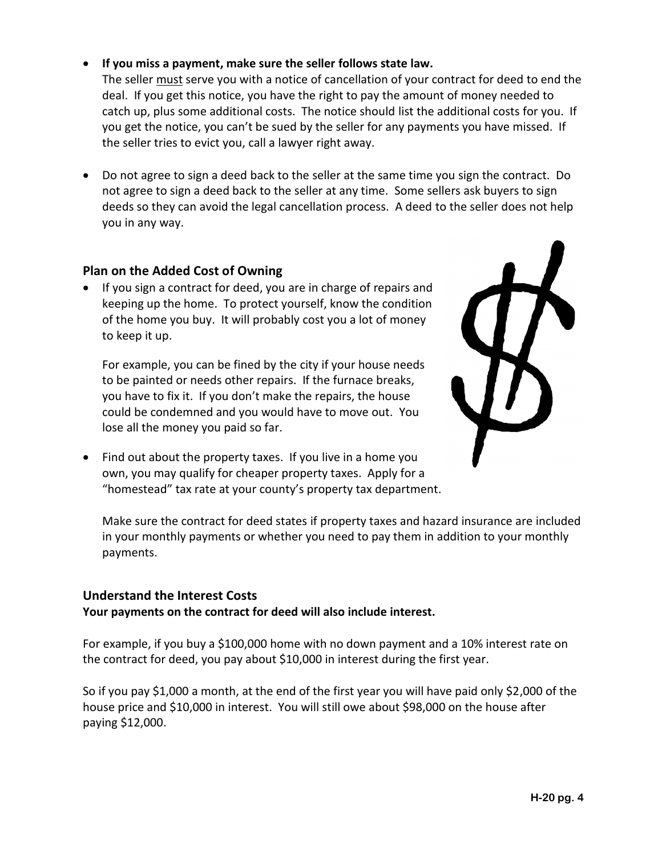#### **H-20 pg. 4**

#### **If you miss a payment, make sure the seller follows state law.**

The seller must serve you with a notice of cancellation of your contract for deed to end the deal. If you get this notice, you have the right to pay the amount of money needed to catch up, plus some additional costs. The notice should list the additional costs for you. If you get the notice, you can't be sued by the seller for any payments you have missed. If the seller tries to evict you, call a lawyer right away.

 Do not agree to sign a deed back to the seller at the same time you sign the contract. Do not agree to sign a deed back to the seller at any time. Some sellers ask buyers to sign deeds so they can avoid the legal cancellation process. A deed to the seller does not help you in any way.

#### **Plan on the Added Cost of Owning**

 If you sign a contract for deed, you are in charge of repairs and keeping up the home. To protect yourself, know the condition of the home you buy. It will probably cost you a lot of money to keep it up.

For example, you can be fined by the city if your house needs to be painted or needs other repairs. If the furnace breaks, you have to fix it. If you don't make the repairs, the house could be condemned and you would have to move out. You lose all the money you paid so far.

• Find out about the property taxes. If you live in a home you own, you may qualify for cheaper property taxes. Apply for a "homestead" tax rate at your county's property tax department.

Make sure the contract for deed states if property taxes and hazard insurance are included in your monthly payments or whether you need to pay them in addition to your monthly payments.

#### **Understand the Interest Costs**

#### **Your payments on the contract for deed will also include interest.**

For example, if you buy a \$100,000 home with no down payment and a 10% interest rate on the contract for deed, you pay about \$10,000 in interest during the first year.

So if you pay \$1,000 a month, at the end of the first year you will have paid only \$2,000 of the house price and \$10,000 in interest. You will still owe about \$98,000 on the house after paying \$12,000.